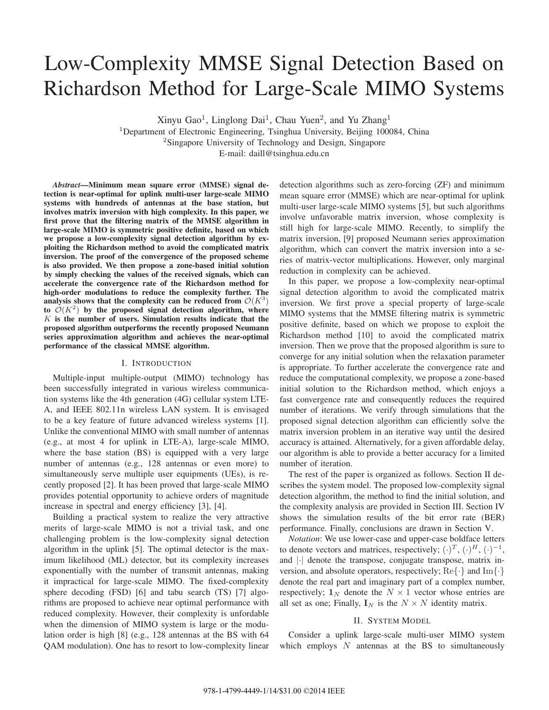# Low-Complexity MMSE Signal Detection Based on Richardson Method for Large-Scale MIMO Systems

Xinyu Gao<sup>1</sup>, Linglong Dai<sup>1</sup>, Chau Yuen<sup>2</sup>, and Yu Zhang<sup>1</sup>

<sup>1</sup>Department of Electronic Engineering, Tsinghua University, Beijing 100084, China

<sup>2</sup>Singapore University of Technology and Design, Singapore

E-mail: daill@tsinghua.edu.cn

*Abstract***—Minimum mean square error (MMSE) signal detection is near-optimal for uplink multi-user large-scale MIMO systems with hundreds of antennas at the base station, but involves matrix inversion with high complexity. In this paper, we first prove that the filtering matrix of the MMSE algorithm in large-scale MIMO is symmetric positive definite, based on which we propose a low-complexity signal detection algorithm by exploiting the Richardson method to avoid the complicated matrix inversion. The proof of the convergence of the proposed scheme is also provided. We then propose a zone-based initial solution by simply checking the values of the received signals, which can accelerate the convergence rate of the Richardson method for high-order modulations to reduce the complexity further. The** analysis shows that the complexity can be reduced from  $\mathcal{O}(K^3)$ to  $\mathcal{O}(K^2)$  by the proposed signal detection algorithm, where *K* **is the number of users. Simulation results indicate that the proposed algorithm outperforms the recently proposed Neumann series approximation algorithm and achieves the near-optimal performance of the classical MMSE algorithm.**

#### I. INTRODUCTION

Multiple-input multiple-output (MIMO) technology has been successfully integrated in various wireless communication systems like the 4th generation (4G) cellular system LTE-A, and IEEE 802.11n wireless LAN system. It is envisaged to be a key feature of future advanced wireless systems [1]. Unlike the conventional MIMO with small number of antennas (e.g., at most 4 for uplink in LTE-A), large-scale MIMO, where the base station (BS) is equipped with a very large number of antennas (e.g., 128 antennas or even more) to simultaneously serve multiple user equipments (UEs), is recently proposed [2]. It has been proved that large-scale MIMO provides potential opportunity to achieve orders of magnitude increase in spectral and energy efficiency [3], [4].

Building a practical system to realize the very attractive merits of large-scale MIMO is not a trivial task, and one challenging problem is the low-complexity signal detection algorithm in the uplink [5]. The optimal detector is the maximum likelihood (ML) detector, but its complexity increases exponentially with the number of transmit antennas, making it impractical for large-scale MIMO. The fixed-complexity sphere decoding (FSD) [6] and tabu search (TS) [7] algorithms are proposed to achieve near optimal performance with reduced complexity. However, their complexity is unfordable when the dimension of MIMO system is large or the modulation order is high [8] (e.g., 128 antennas at the BS with 64 QAM modulation). One has to resort to low-complexity linear

detection algorithms such as zero-forcing (ZF) and minimum mean square error (MMSE) which are near-optimal for uplink multi-user large-scale MIMO systems [5], but such algorithms involve unfavorable matrix inversion, whose complexity is still high for large-scale MIMO. Recently, to simplify the matrix inversion, [9] proposed Neumann series approximation algorithm, which can convert the matrix inversion into a series of matrix-vector multiplications. However, only marginal reduction in complexity can be achieved.

In this paper, we propose a low-complexity near-optimal signal detection algorithm to avoid the complicated matrix inversion. We first prove a special property of large-scale MIMO systems that the MMSE filtering matrix is symmetric positive definite, based on which we propose to exploit the Richardson method [10] to avoid the complicated matrix inversion. Then we prove that the proposed algorithm is sure to converge for any initial solution when the relaxation parameter is appropriate. To further accelerate the convergence rate and reduce the computational complexity, we propose a zone-based initial solution to the Richardson method, which enjoys a fast convergence rate and consequently reduces the required number of iterations. We verify through simulations that the proposed signal detection algorithm can efficiently solve the matrix inversion problem in an iterative way until the desired accuracy is attained. Alternatively, for a given affordable delay, our algorithm is able to provide a better accuracy for a limited number of iteration.

The rest of the paper is organized as follows. Section II describes the system model. The proposed low-complexity signal detection algorithm, the method to find the initial solution, and the complexity analysis are provided in Section III. Section IV shows the simulation results of the bit error rate (BER) performance. Finally, conclusions are drawn in Section V.

*Notation*: We use lower-case and upper-case boldface letters to denote vectors and matrices, respectively;  $(\cdot)^T$ ,  $(\cdot)^H$ ,  $(\cdot)^{-1}$ , and |·| denote the transpose, conjugate transpose, matrix inversion, and absolute operators, respectively;  $\text{Re}\{\cdot\}$  and  $\text{Im}\{\cdot\}$ denote the real part and imaginary part of a complex number, respectively;  $\mathbf{1}_N$  denote the  $N \times 1$  vector whose entries are all set as one; Finally,  $I_N$  is the  $N \times N$  identity matrix.

### II. SYSTEM MODEL

Consider a uplink large-scale multi-user MIMO system which employs  $N$  antennas at the BS to simultaneously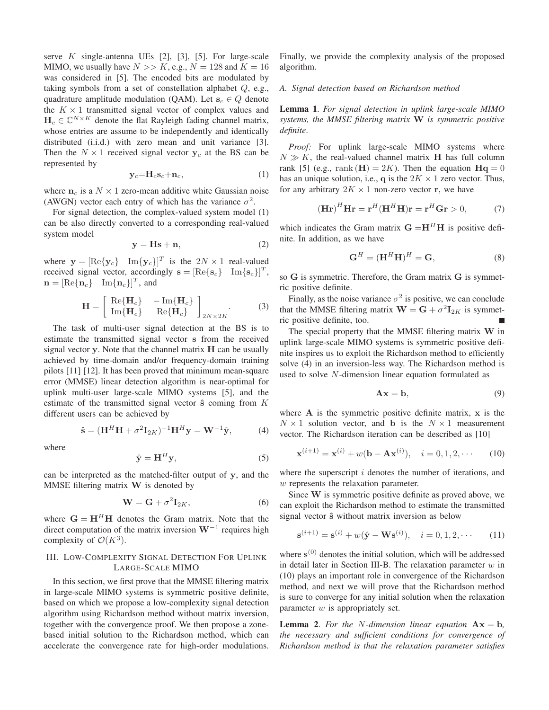serve K single-antenna UEs  $[2]$ ,  $[3]$ ,  $[5]$ . For large-scale MIMO, we usually have  $N \gg K$ , e.g.,  $N = 128$  and  $K = 16$ was considered in [5]. The encoded bits are modulated by taking symbols from a set of constellation alphabet Q, e.g., quadrature amplitude modulation (QAM). Let  $s_c \in Q$  denote the  $K \times 1$  transmitted signal vector of complex values and  $\mathbf{H}_c \in \mathbb{C}^{N \times K}$  denote the flat Rayleigh fading channel matrix, whose entries are assume to be independently and identically distributed (i.i.d.) with zero mean and unit variance [3]. Then the  $N \times 1$  received signal vector  $y_c$  at the BS can be represented by

$$
\mathbf{y}_c = \mathbf{H}_c \mathbf{s}_c + \mathbf{n}_c,\tag{1}
$$

where  $n_c$  is a  $N \times 1$  zero-mean additive white Gaussian noise (AWGN) vector each entry of which has the variance  $\sigma^2$ .

For signal detection, the complex-valued system model (1) can be also directly converted to a corresponding real-valued system model

$$
y = Hs + n,\t(2)
$$

where  $y = [Re{y_c}]$   $Im{y_c}]^T$  is the  $2N \times 1$  real-valued received signal vector, accordingly  $\mathbf{s} = [\text{Re}\{\mathbf{s}_c\} \quad \text{Im}\{\mathbf{s}_c\}]^T$ ,  $\mathbf{n} = [\text{Re}\{\mathbf{n}_c\} \quad \text{Im}\{\mathbf{n}_c\}]^T$ , and

$$
\mathbf{H} = \begin{bmatrix} \text{Re}\{\mathbf{H}_c\} & -\text{Im}\{\mathbf{H}_c\} \\ \text{Im}\{\mathbf{H}_c\} & \text{Re}\{\mathbf{H}_c\} \end{bmatrix}_{2N \times 2K}.
$$
 (3)

The task of multi-user signal detection at the BS is to estimate the transmitted signal vector **s** from the received signal vector **y**. Note that the channel matrix **H** can be usually achieved by time-domain and/or frequency-domain training pilots [11] [12]. It has been proved that minimum mean-square error (MMSE) linear detection algorithm is near-optimal for uplink multi-user large-scale MIMO systems [5], and the estimate of the transmitted signal vector  $\hat{s}$  coming from K different users can be achieved by

$$
\hat{\mathbf{s}} = (\mathbf{H}^H \mathbf{H} + \sigma^2 \mathbf{I}_{2K})^{-1} \mathbf{H}^H \mathbf{y} = \mathbf{W}^{-1} \hat{\mathbf{y}},
$$
 (4)

where

$$
\hat{\mathbf{y}} = \mathbf{H}^H \mathbf{y},\tag{5}
$$

can be interpreted as the matched-filter output of **y**, and the MMSE filtering matrix **W** is denoted by

$$
\mathbf{W} = \mathbf{G} + \sigma^2 \mathbf{I}_{2K},\tag{6}
$$

where  $G = H<sup>H</sup>H$  denotes the Gram matrix. Note that the direct computation of the matrix inversion **W**−<sup>1</sup> requires high complexity of  $\mathcal{O}(K^3)$ .

## III. LOW-COMPLEXITY SIGNAL DETECTION FOR UPLINK LARGE-SCALE MIMO

In this section, we first prove that the MMSE filtering matrix in large-scale MIMO systems is symmetric positive definite, based on which we propose a low-complexity signal detection algorithm using Richardson method without matrix inversion, together with the convergence proof. We then propose a zonebased initial solution to the Richardson method, which can accelerate the convergence rate for high-order modulations. Finally, we provide the complexity analysis of the proposed algorithm.

## *A. Signal detection based on Richardson method*

**Lemma 1**. *For signal detection in uplink large-scale MIMO systems, the MMSE filtering matrix* **W** *is symmetric positive definite*.

*Proof:* For uplink large-scale MIMO systems where  $N \gg K$ , the real-valued channel matrix **H** has full column rank [5] (e.g., rank  $(H) = 2K$ ). Then the equation  $Hq = 0$ has an unique solution, i.e., **q** is the  $2K \times 1$  zero vector. Thus, for any arbitrary  $2K \times 1$  non-zero vector **r**, we have

$$
(\mathbf{H}\mathbf{r})^H \mathbf{H}\mathbf{r} = \mathbf{r}^H (\mathbf{H}^H \mathbf{H})\mathbf{r} = \mathbf{r}^H \mathbf{G}\mathbf{r} > 0,
$$
 (7)

which indicates the Gram matrix  $G = H<sup>H</sup>H$  is positive definite. In addition, as we have

$$
\mathbf{G}^H = (\mathbf{H}^H \mathbf{H})^H = \mathbf{G},\tag{8}
$$

so **G** is symmetric. Therefore, the Gram matrix **G** is symmetric positive definite.

Finally, as the noise variance  $\sigma^2$  is positive, we can conclude that the MMSE filtering matrix  $\mathbf{W} = \mathbf{G} + \sigma^2 \mathbf{I}_{2K}$  is symmetric positive definite, too.

The special property that the MMSE filtering matrix **W** in uplink large-scale MIMO systems is symmetric positive definite inspires us to exploit the Richardson method to efficiently solve (4) in an inversion-less way. The Richardson method is used to solve N-dimension linear equation formulated as

$$
Ax = b,\t\t(9)
$$

where **A** is the symmetric positive definite matrix, **x** is the  $N \times 1$  solution vector, and **b** is the  $N \times 1$  measurement vector. The Richardson iteration can be described as [10]

$$
\mathbf{x}^{(i+1)} = \mathbf{x}^{(i)} + w(\mathbf{b} - \mathbf{A}\mathbf{x}^{(i)}), \quad i = 0, 1, 2, \cdots \tag{10}
$$

where the superscript  $i$  denotes the number of iterations, and w represents the relaxation parameter.

Since **W** is symmetric positive definite as proved above, we can exploit the Richardson method to estimate the transmitted signal vector **ˆs** without matrix inversion as below

$$
\mathbf{s}^{(i+1)} = \mathbf{s}^{(i)} + w(\hat{\mathbf{y}} - \mathbf{W}\mathbf{s}^{(i)}), \quad i = 0, 1, 2, \cdots \tag{11}
$$

where  $s^{(0)}$  denotes the initial solution, which will be addressed in detail later in Section III-B. The relaxation parameter  $w$  in (10) plays an important role in convergence of the Richardson method, and next we will prove that the Richardson method is sure to converge for any initial solution when the relaxation parameter  $w$  is appropriately set.

**Lemma 2.** For the N-dimension linear equation  $Ax = b$ , *the necessary and sufficient conditions for convergence of Richardson method is that the relaxation parameter satisfies*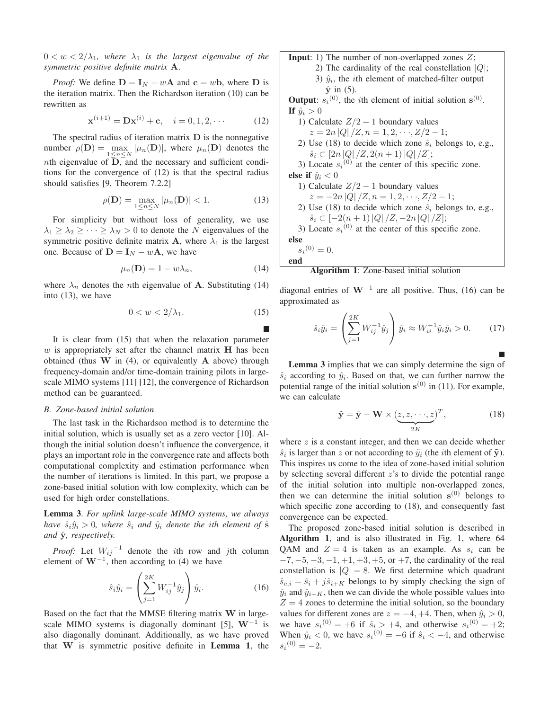$0 < w < 2/\lambda_1$ , where  $\lambda_1$  is the largest eigenvalue of the *symmetric positive definite matrix* **A**.

*Proof:* We define  $D = I_N - wA$  and  $c = wb$ , where D is the iteration matrix. Then the Richardson iteration (10) can be rewritten as

$$
\mathbf{x}^{(i+1)} = \mathbf{D}\mathbf{x}^{(i)} + \mathbf{c}, \quad i = 0, 1, 2, \cdots \tag{12}
$$

The spectral radius of iteration matrix **D** is the nonnegative number  $\rho(\mathbf{D}) = \max_{1 \leq n \leq N} |\mu_n(\mathbf{D})|$ , where  $\mu_n(\mathbf{D})$  denotes the nth eigenvalue of  $\overline{D}$ , and the necessary and sufficient conditions for the convergence of (12) is that the spectral radius should satisfies [9, Theorem 7.2.2]

$$
\rho(\mathbf{D}) = \max_{1 \le n \le N} |\mu_n(\mathbf{D})| < 1. \tag{13}
$$

For simplicity but without loss of generality, we use  $\lambda_1 \geq \lambda_2 \geq \cdots \geq \lambda_N > 0$  to denote the N eigenvalues of the symmetric positive definite matrix **A**, where  $\lambda_1$  is the largest one. Because of  $D = I_N - wA$ , we have

$$
\mu_n(\mathbf{D}) = 1 - w\lambda_n,\tag{14}
$$

where  $\lambda_n$  denotes the *n*th eigenvalue of **A**. Substituting (14) into (13), we have

$$
0 < w < 2/\lambda_1. \tag{15}
$$

It is clear from (15) that when the relaxation parameter w is appropriately set after the channel matrix **H** has been obtained (thus **W** in (4), or equivalently **A** above) through frequency-domain and/or time-domain training pilots in largescale MIMO systems [11] [12], the convergence of Richardson method can be guaranteed.

#### *B. Zone-based initial solution*

The last task in the Richardson method is to determine the initial solution, which is usually set as a zero vector [10]. Although the initial solution doesn't influence the convergence, it plays an important role in the convergence rate and affects both computational complexity and estimation performance when the number of iterations is limited. In this part, we propose a zone-based initial solution with low complexity, which can be used for high order constellations.

**Lemma 3**. *For uplink large-scale MIMO systems, we always have*  $\hat{s}_i \hat{y}_i > 0$ , where  $\hat{s}_i$  *and*  $\hat{y}_i$  *denote the ith element of*  $\hat{s}$ *and* **y**ˆ*, respectively.*

*Proof:* Let  $W_{ij}^{-1}$  denote the *i*th row and *j*th column element of  $W^{-1}$ , then according to (4) we have

$$
\hat{s}_i \hat{y}_i = \left( \sum_{j=1}^{2K} W_{ij}^{-1} \hat{y}_j \right) \hat{y}_i.
$$
 (16)

Based on the fact that the MMSE filtering matrix **W** in largescale MIMO systems is diagonally dominant [5],  $W^{-1}$  is also diagonally dominant. Additionally, as we have proved that **W** is symmetric positive definite in **Lemma 1**, the **Input**: 1) The number of non-overlapped zones  $Z$ ;

2) The cardinality of the real constellation  $|Q|$ ; 3)  $\hat{y}_i$ , the *i*th element of matched-filter output  $\hat{y}$  in (5).

**Output**:  $s_i^{(0)}$ , the *i*th element of initial solution  $\mathbf{s}^{(0)}$ . **If**  $\hat{y}_i > 0$ 

- 1) Calculate  $Z/2 1$  boundary values
- $z = 2n |Q| / Z, n = 1, 2, \dots, Z/2 1;$
- 2) Use (18) to decide which zone  $\hat{s}_i$  belongs to, e.g.,  $\hat{s}_i \subset [2n|Q]/Z, 2(n+1)|Q|/Z];$
- 3) Locate  $s_i^{(0)}$  at the center of this specific zone. **else if**  $\hat{y}_i < 0$ 
	- 1) Calculate  $Z/2 1$  boundary values  $z = -2n |Q| / Z, n = 1, 2, \cdots, Z/2 - 1;$
	- 2) Use (18) to decide which zone  $\hat{s}_i$  belongs to, e.g.,  $\hat{s}_i$  ⊂ [-2(n + 1)|Q| /Z, -2n |Q| /Z];
- 3) Locate  $s_i^{(0)}$  at the center of this specific zone. **else**

 $s_i^{(0)} = 0.$ **end**

**Algorithm 1**: Zone-based initial solution

diagonal entries of  $W^{-1}$  are all positive. Thus, (16) can be approximated as

$$
\hat{s}_i \hat{y}_i = \left(\sum_{j=1}^{2K} W_{ij}^{-1} \hat{y}_j\right) \hat{y}_i \approx W_{ii}^{-1} \hat{y}_i \hat{y}_i > 0. \tag{17}
$$

**Lemma 3** implies that we can simply determine the sign of  $\hat{s}_i$  according to  $\hat{y}_i$ . Based on that, we can further narrow the potential range of the initial solution  $s^{(0)}$  in (11). For example, we can calculate

$$
\tilde{\mathbf{y}} = \hat{\mathbf{y}} - \mathbf{W} \times (\underbrace{z, z, \cdots, z}_{2K})^T, \tag{18}
$$

where  $z$  is a constant integer, and then we can decide whether  $\hat{s}_i$  is larger than z or not according to  $\tilde{y}_i$  (the *i*th element of  $\tilde{y}$ ). This inspires us come to the idea of zone-based initial solution by selecting several different z's to divide the potential range of the initial solution into multiple non-overlapped zones, then we can determine the initial solution  $s^{(0)}$  belongs to which specific zone according to (18), and consequently fast convergence can be expected.

The proposed zone-based initial solution is described in **Algorithm 1**, and is also illustrated in Fig. 1, where 64 QAM and  $Z = 4$  is taken as an example. As  $s_i$  can be  $-7, -5, -3, -1, +1, +3, +5$ , or  $+7$ , the cardinality of the real constellation is  $|Q| = 8$ . We first determine which quadrant  $\hat{s}_{c,i} = \hat{s}_i + j\hat{s}_{i+K}$  belongs to by simply checking the sign of  $\hat{y}_i$  and  $\hat{y}_{i+K}$ , then we can divide the whole possible values into  $Z = 4$  zones to determine the initial solution, so the boundary values for different zones are  $z = -4, +4$ . Then, when  $\hat{y}_i > 0$ , we have  $s_i^{(0)} = +6$  if  $\hat{s}_i > +4$ , and otherwise  $s_i^{(0)} = +2$ ; When  $\hat{y}_i < 0$ , we have  $s_i^{(0)} = -6$  if  $\hat{s}_i < -4$ , and otherwise  $s_i^{(0)} = -2.$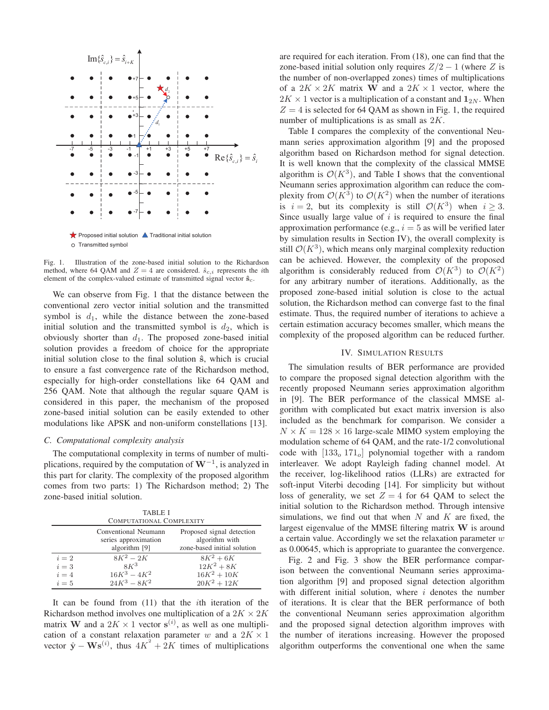

Fig. 1. Illustration of the zone-based initial solution to the Richardson method, where 64 QAM and  $Z = 4$  are considered.  $\hat{s}_{c,i}$  represents the *i*th element of the complex-valued estimate of transmitted signal vector **ˆs***c*.

We can observe from Fig. 1 that the distance between the conventional zero vector initial solution and the transmitted symbol is  $d_1$ , while the distance between the zone-based initial solution and the transmitted symbol is  $d_2$ , which is obviously shorter than  $d_1$ . The proposed zone-based initial solution provides a freedom of choice for the appropriate initial solution close to the final solution **ˆs**, which is crucial to ensure a fast convergence rate of the Richardson method, especially for high-order constellations like 64 QAM and 256 QAM. Note that although the regular square QAM is considered in this paper, the mechanism of the proposed zone-based initial solution can be easily extended to other modulations like APSK and non-uniform constellations [13].

#### *C. Computational complexity analysis*

The computational complexity in terms of number of multiplications, required by the computation of **W**−<sup>1</sup>, is analyzed in this part for clarity. The complexity of the proposed algorithm comes from two parts: 1) The Richardson method; 2) The zone-based initial solution.

TABLE I

| .<br>COMPUTATIONAL COMPLEXITY |                                                               |                                                                            |
|-------------------------------|---------------------------------------------------------------|----------------------------------------------------------------------------|
|                               | Conventional Neumann<br>series approximation<br>algorithm [9] | Proposed signal detection<br>algorithm with<br>zone-based initial solution |
| $i=2$                         | $8K^2 - 2K$                                                   | $8K^2 + 6K$                                                                |
| $i=3$                         | $8K^3$                                                        | $12K^2 + 8K$                                                               |
| $i=4$                         | $16K^3 - 4K^2$                                                | $16K^2 + 10K$                                                              |
| $i=5$                         | $24K^3 - 8K^2$                                                | $20K^2 + 12K$                                                              |

It can be found from  $(11)$  that the *i*th iteration of the Richardson method involves one multiplication of a  $2K \times 2K$ matrix **W** and a  $2K \times 1$  vector  $s^{(i)}$ , as well as one multiplication of a constant relaxation parameter w and a  $2K \times 1$ vector  $\hat{\mathbf{y}} - \mathbf{W}\mathbf{s}^{(i)}$ , thus  $4K^2 + 2K$  times of multiplications are required for each iteration. From (18), one can find that the zone-based initial solution only requires  $Z/2 - 1$  (where Z is the number of non-overlapped zones) times of multiplications of a  $2K \times 2K$  matrix **W** and a  $2K \times 1$  vector, where the  $2K \times 1$  vector is a multiplication of a constant and  $\mathbf{1}_{2N}$ . When  $Z = 4$  is selected for 64 QAM as shown in Fig. 1, the required number of multiplications is as small as  $2K$ .

Table I compares the complexity of the conventional Neumann series approximation algorithm [9] and the proposed algorithm based on Richardson method for signal detection. It is well known that the complexity of the classical MMSE algorithm is  $\mathcal{O}(K^3)$ , and Table I shows that the conventional Neumann series approximation algorithm can reduce the complexity from  $\mathcal{O}(K^3)$  to  $\mathcal{O}(K^2)$  when the number of iterations is  $i = 2$ , but its complexity is still  $\mathcal{O}(K^3)$  when  $i \geq 3$ . Since usually large value of  $i$  is required to ensure the final approximation performance (e.g.,  $i = 5$  as will be verified later by simulation results in Section IV), the overall complexity is still  $\mathcal{O}(K^3)$ , which means only marginal complexity reduction can be achieved. However, the complexity of the proposed algorithm is considerably reduced from  $\mathcal{O}(K^3)$  to  $\mathcal{O}(K^2)$ for any arbitrary number of iterations. Additionally, as the proposed zone-based initial solution is close to the actual solution, the Richardson method can converge fast to the final estimate. Thus, the required number of iterations to achieve a certain estimation accuracy becomes smaller, which means the complexity of the proposed algorithm can be reduced further.

#### IV. SIMULATION RESULTS

The simulation results of BER performance are provided to compare the proposed signal detection algorithm with the recently proposed Neumann series approximation algorithm in [9]. The BER performance of the classical MMSE algorithm with complicated but exact matrix inversion is also included as the benchmark for comparison. We consider a  $N \times K = 128 \times 16$  large-scale MIMO system employing the modulation scheme of 64 QAM, and the rate-1/2 convolutional code with [133*<sup>o</sup>* 171*o*] polynomial together with a random interleaver. We adopt Rayleigh fading channel model. At the receiver, log-likelihood ratios (LLRs) are extracted for soft-input Viterbi decoding [14]. For simplicity but without loss of generality, we set  $Z = 4$  for 64 QAM to select the initial solution to the Richardson method. Through intensive simulations, we find out that when  $N$  and  $K$  are fixed, the largest eigenvalue of the MMSE filtering matrix **W** is around a certain value. Accordingly we set the relaxation parameter  $w$ as 0.00645, which is appropriate to guarantee the convergence.

Fig. 2 and Fig. 3 show the BER performance comparison between the conventional Neumann series approximation algorithm [9] and proposed signal detection algorithm with different initial solution, where  $i$  denotes the number of iterations. It is clear that the BER performance of both the conventional Neumann series approximation algorithm and the proposed signal detection algorithm improves with the number of iterations increasing. However the proposed algorithm outperforms the conventional one when the same